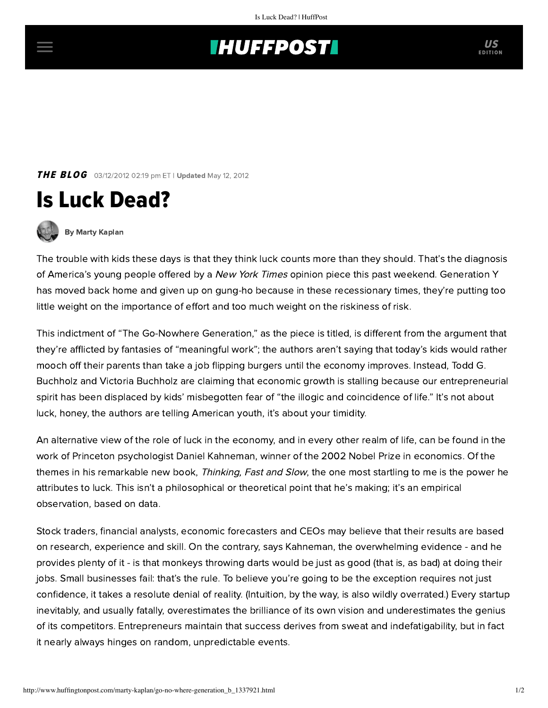## **INUFFPOSTI** US

**THE BLOG** 03/12/2012 02:19 pm ET | Updated May 12, 2012





[By Marty Kaplan](http://www.huffingtonpost.com/author/marty-kaplan)

The trouble with kids these days is that they think luck counts more than they should. That's the diagnosis of America's young people offered by a New York Times opinion piece this past weekend. Generation Y has moved back home and given up on gung-ho because in these recessionary times, they're putting too little weight on the importance of effort and too much weight on the riskiness of risk.

This indictment of "[The Go-Nowhere Generation,](http://www.nytimes.com/2012/03/11/opinion/sunday/the-go-nowhere-generation.html)" as the piece is titled, is different from the argument that they're afflicted by fantasies of "meaningful work"; the authors aren't saying that today's kids would rather mooch off their parents than take a job flipping burgers until the economy improves. Instead, Todd G. Buchholz and Victoria Buchholz are claiming that economic growth is stalling because our entrepreneurial spirit has been displaced by kids' misbegotten fear of "the illogic and coincidence of life." It's not about luck, honey, the authors are telling American youth, it's about your timidity.

An alternative view of the role of luck in the economy, and in every other realm of life, can be found in the work of Princeton psychologist Daniel Kahneman, winner of the 2002 Nobel Prize in economics. Of the themes in his remarkable new book, [Thinking, Fast and](http://www.ft.com/intl/cms/s/2/15bb6522-04ac-11e1-91d9-00144feabdc0.html#axzz1oqiOXA6y) Slow, the one most startling to me is the power he attributes to luck. This isn't a philosophical or theoretical point that he's making; it's an empirical observation, based on data.

Stock traders, financial analysts, economic forecasters and CEOs may believe that their results are based on research, experience and skill. On the contrary, says Kahneman, the overwhelming evidence - and he provides plenty of it - is that monkeys throwing darts would be just as good (that is, as bad) at doing their jobs. Small businesses fail: that's the rule. To believe you're going to be the exception requires not just confidence, it takes a resolute denial of reality. (Intuition, by the way, is also wildly overrated.) Every startup inevitably, and usually fatally, overestimates the brilliance of its own vision and underestimates the genius of its competitors. Entrepreneurs maintain that success derives from sweat and indefatigability, but in fact it nearly always hinges on random, unpredictable events.